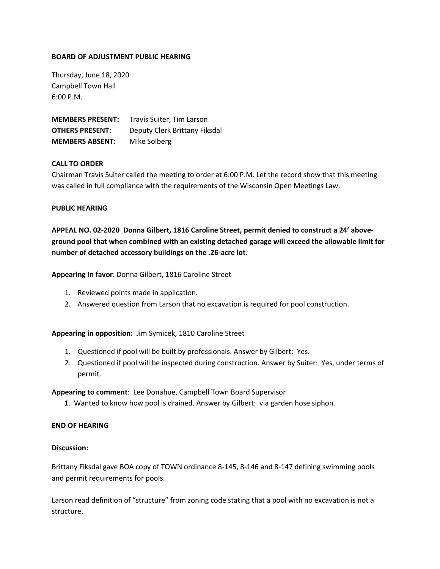## **BOARD OF ADJUSTMENT PUBLIC HEARING**

Thursday, June 18, 2020 Campbell Town Hall 6:00 P.M.

**MEMBERS PRESENT:** Travis Suiter, Tim Larson **OTHERS PRESENT:** Deputy Clerk Brittany Fiksdal **MEMBERS ABSENT:** Mike Solberg

# **CALL TO ORDER**

Chairman Travis Suiter called the meeting to order at 6:00 P.M. Let the record show that this meeting was called in full compliance with the requirements of the Wisconsin Open Meetings Law.

### **PUBLIC HEARING**

**APPEAL NO. 02-2020 Donna Gilbert, 1816 Caroline Street, permit denied to construct a 24' aboveground pool that when combined with an existing detached garage will exceed the allowable limit for number of detached accessory buildings on the .26-acre lot.**

**Appearing In favor**: Donna Gilbert, 1816 Caroline Street

- 1. Reviewed points made in application.
- 2. Answered question from Larson that no excavation is required for pool construction.

**Appearing in opposition:** Jim Symicek, 1810 Caroline Street

- 1. Questioned if pool will be built by professionals. Answer by Gilbert: Yes.
- 2. Questioned if pool will be inspected during construction. Answer by Suiter: Yes, under terms of permit.

**Appearing to comment**: Lee Donahue, Campbell Town Board Supervisor

1. Wanted to know how pool is drained. Answer by Gilbert: via garden hose siphon.

### **END OF HEARING**

### **Discussion:**

Brittany Fiksdal gave BOA copy of TOWN ordinance 8-145, 8-146 and 8-147 defining swimming pools and permit requirements for pools.

Larson read definition of "structure" from zoning code stating that a pool with no excavation is not a structure.